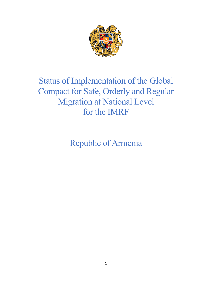

# Status of Implementation of the Global Compact for Safe, Orderly and Regular Migration at National Level for the IMRF

Republic of Armenia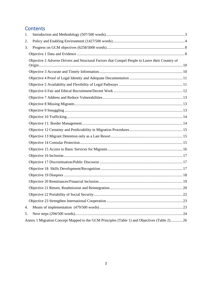# **Contents**

| 1. |                                                                                                 |  |
|----|-------------------------------------------------------------------------------------------------|--|
| 2. |                                                                                                 |  |
| 3. |                                                                                                 |  |
|    |                                                                                                 |  |
|    | Objective 2 Adverse Drivers and Structural Factors that Compel People to Leave their Country of |  |
|    |                                                                                                 |  |
|    |                                                                                                 |  |
|    |                                                                                                 |  |
|    |                                                                                                 |  |
|    |                                                                                                 |  |
|    |                                                                                                 |  |
|    |                                                                                                 |  |
|    |                                                                                                 |  |
|    |                                                                                                 |  |
|    |                                                                                                 |  |
|    |                                                                                                 |  |
|    |                                                                                                 |  |
|    |                                                                                                 |  |
|    |                                                                                                 |  |
|    |                                                                                                 |  |
|    |                                                                                                 |  |
|    |                                                                                                 |  |
|    |                                                                                                 |  |
|    |                                                                                                 |  |
|    |                                                                                                 |  |
|    |                                                                                                 |  |
|    |                                                                                                 |  |
| 4. |                                                                                                 |  |
| 5. |                                                                                                 |  |
|    | Annex 1 Migration Concept Mapped to the GCM Principles (Table 1) and Objectives (Table 2) 26    |  |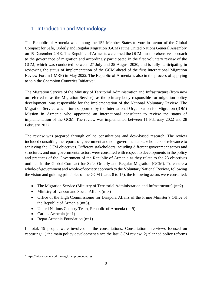# <span id="page-2-0"></span>1. Introduction and Methodology

The Republic of Armenia was among the 152 Member States to vote in favour of the Global Compact for Safe, Orderly and Regular Migration (GCM) at the United Nations General Assembly on 19 December 2018. The Republic of Armenia welcomed the GCM's comprehensive approach to the governance of migration and accordingly participated in the first voluntary review of the GCM, which was conducted between 27 July and 25 August 2020, and is fully participating in reviewing the status of implementation of the GCM ahead of the first International Migration Review Forum (IMRF) in May 2022. The Republic of Armenia is also in the process of applying to join the Champion Countries Initiative<sup>1</sup>.

The Migration Service of the Ministry of Territorial Administration and Infrastructure (from now on referred to as the Migration Service), as the primary body responsible for migration policy development, was responsible for the implementation of the National Voluntary Review. The Migration Service was in turn supported by the International Organization for Migration (IOM) Mission in Armenia who appointed an international consultant to review the status of implementation of the GCM. The review was implemented between 11 February 2022 and 28 February 2022.

The review was prepared through online consultations and desk-based research. The review included consulting the reports of government and non-governmental stakeholders of relevance to achieving the GCM objectives. Different stakeholders including different government actors and structures, and non-governmental actors were consulted with respect to developments in the policy and practices of the Government of the Republic of Armenia as they relate to the 23 objectives outlined in the Global Compact for Safe, Orderly and Regular Migration (GCM). To ensure a whole-of-government and whole-of-society approach to the Voluntary National Review, following the vision and guiding principles of the GCM (paras 8 to 15), the following actors were consulted:

- The Migration Service (Ministry of Territorial Administration and Infrastructure) (n=2)
- Ministry of Labour and Social Affairs (n=3)
- Office of the High Commissioner for Diaspora Affairs of the Prime Minister's Office of the Republic of Armenia (n=3).
- United Nations Country Team, Republic of Armenia (n=9)
- Caritas Armenia (n=1)
- Repat Armenia Foundation (n=1)

In total, 19 people were involved in the consultations. Consultation interviews focused on capturing: 1) the main policy development since the last GCM review; 2) planned policy reforms

<sup>1</sup> https://migrationnetwork.un.org/champion-countries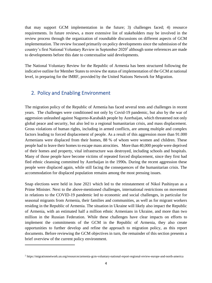that may support GCM implementation in the future; 3) challenges faced; 4) resource requirements. In future reviews, a more extensive list of stakeholders may be involved in the review process through the organization of roundtable discussions on different aspects of GCM implementation. The review focused primarily on policy developments since the submission of the country's first National Voluntary Review in September 2020<sup>2</sup> although some references are made to developments before this date to contextualise said developments.

The National Voluntary Review for the Republic of Armenia has been structured following the indicative outline for Member States to review the status of implementation of the GCM at national level, in preparing for the IMRF, provided by the United Nations Network for Migration.

# <span id="page-3-0"></span>2. Policy and Enabling Environment

The migration policy of the Republic of Armenia has faced several tests and challenges in recent years. The challenges were conditioned not only by Covid-19 pandemic, but also by the war of aggression unleashed against Nagorno-Karabakh people by Azerbaijan, which threatened not only global peace and security, but also led to a regional humanitarian crisis, and mass displacement. Gross violations of human rights, including in armed conflicts, are among multiple and complex factors leading to forced displacement of people. As a result of this aggression more than 91.000 Armenians were displaced from their homes, 88 % of whom were women and children. These people had to leave their homes to escape mass atrocities. More than 40,000 people were deprived of their homes and property, vital infrastructure was destroyed, including schools and hospitals. Many of those people have become victims of repeated forced displacement, since they first had fled ethnic cleansing committed by Azerbaijan in the 1990s. During the recent aggression these people were displaced again, while still facing the consequences of the humanitarian crisis. The accommodation for displaced population remains among the most pressing issues.

Snap elections were held in June 2021 which led to the reinstatement of Nikol Pashinyan as a Prime Minister. Next to the above-mentioned challenges, international restrictions on movement in relations to the COVID-19 pandemic led to economic and social challenges, in particular for seasonal migrants from Armenia, their families and communities, as well as for migrant workers residing in the Republic of Armenia. The situation in Ukraine will likely also impact the Republic of Armenia, with an estimated half a million ethnic Armenians in Ukraine, and more than two million in the Russian Federation. While these challenges have clear impacts on efforts to implement the commitments of the GCM in the Republic of Armenia, they also create opportunities to further develop and refine the approach to migration policy, as this report documents. Before reviewing the GCM objectives in turn, the remainder of this section presents a brief overview of the current policy environment.

<sup>2</sup> <https://migrationnetwork.un.org/resources/armenia-gcm-voluntary-national-report-regional-review-europe-and-north-america>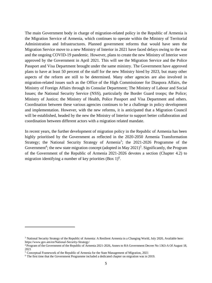The main Government body in charge of migration-related policy in the Republic of Armenia is the Migration Service of Armenia, which continues to operate within the Ministry of Territorial Administration and Infrastructures. Planned government reforms that would have seen the Migration Service move to a new Ministry of Interior in 2021 have faced delays owing to the war and the ongoing COVID-19 pandemic. However, plans to create the new Ministry of Interior were approved by the Government in April 2021. This will see the Migration Service and the Police Passport and Visa Department brought under the same ministry. The Government have approved plans to have at least 50 percent of the staff for the new Ministry hired by 2023, but many other aspects of the reform are still to be determined. Many other agencies are also involved in migration-related issues such as the Office of the High Commissioner for Diaspora Affairs, the Ministry of Foreign Affairs through its Consular Department; The Ministry of Labour and Social Issues; the National Security Service (NSS), particularly the Border Guard troops; the Police; Ministry of Justice; the Ministry of Health, Police Passport and Visa Department and others. Coordination between these various agencies continues to be a challenge in policy development and implementation. However, with the new reforms, it is anticipated that a Migration Council will be established, headed by the new the Ministry of Interior to support better collaboration and coordination between different actors with a migration related mandate.

In recent years, the further development of migration policy in the Republic of Armenia has been highly prioritised by the Government as reflected in the 2020-2050 Armenia Transformation Strategy; the National Security Strategy of Armenia<sup>3</sup>; the 2021-2026 Programme of the Government<sup>4</sup>; the new state migration concept (adopted in May  $2021$ <sup>5</sup>. Significantly, the Program of the Government of the Republic of Armenia 2021-2026 devotes a section (Chapter 4.2) to migration identifying a number of key priorities (Box  $1$ )<sup>6</sup>.

<sup>&</sup>lt;sup>3</sup> National Security Strategy of the Republic of Armenia: A Resilient Armenia in a Changing World, July 2020, Available here: https://www.gov.am/en/National-Security-Strategy/

<sup>4</sup> Program of the Government of the Republic of Armenia 2021-2026, Annex to RA Government Decree No 1363-A Of August 18, 2021

<sup>5</sup> Conceptual Framework of the Republic of Armenia for the State Management of Migration, 2021

<sup>6</sup> The first time that the Government Programme included a dedicated chapter on migration was in 2019.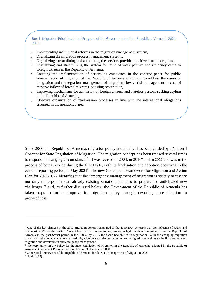Box 1: Migration Priorities in the Program of the Government of the Republic of Armenia 2021- 2026

- o Implementing institutional reforms in the migration management system,
- o Digitalizing the migration process management systems,
- o Digitalizing, streamlining and automating the services provided to citizens and foreigners,
- o Digitalizing and streamlining the system for issue of work permits and residency cards to foreign citizens in the Republic of Armenia,
- $\circ$  Ensuring the implementation of actions as envisioned in the concept paper for public administration of migration of the Republic of Armenia which aim to address the issues of integration and reintegration, management of migration flows, crisis management in case of massive inflow of forced migrants, boosting repatriation,
- o Improving mechanisms for admission of foreign citizens and stateless persons seeking asylum in the Republic of Armenia,
- o Effective organization of readmission processes in line with the international obligations assumed in the mentioned area.

Since 2000, the Republic of Armenia, migration policy and practice has been guided by a National Concept for State Regulation of Migration. The migration concept has been revised several times to respond to changing circumstances<sup>7</sup>. It was revised in 2004, in 2010<sup>8</sup> and in 2017 and was in the process of being revised during the first NVR, with its finalisation and adoption occurring in the current reporting period, in May 2021<sup>9</sup>. The new Conceptual Framework for Migration and Action Plan for 2021-2022 identifies that the 'emergency management of migration is strictly necessary not only to respond to an already existing situation, but also to prepare for anticipated new challenges<sup>10</sup>' and, as further discussed below, the Government of the Republic of Armenia has taken steps to further improve its migration policy through devoting more attention to preparedness.

<sup>&</sup>lt;sup>7</sup> One of the key changes in the 2010 migration concept compared to the 2000/2004 concepts was the inclusion of return and readmission. Where the earlier Concept had focused on emigration, owing to high levels of emigration from the Republic of Armenia in the post-Soviet period in the 1990s, by 2010, the focus had shifted to repatriation. With the changing migration dynamics in the country, the new revised migration concept, devotes attention to immigration as well as to the linkages between migration and development and emergency management.

<sup>&</sup>lt;sup>8</sup> "Concept Paper on the Policy for the State Regulation of Migration in the Republic of Armenia" adopted by the Republic of Armenia Government Protocol Decision N51 on 30 December 2010

<sup>9</sup> Conceptual Framework of the Republic of Armenia for the State Management of Migration, 2021

 $10$  Ibid. (p.14).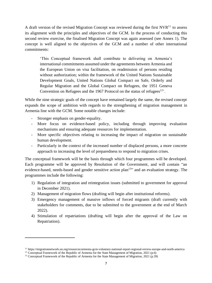A draft version of the revised Migration Concept was reviewed during the first  $NVR<sup>11</sup>$  to assess its alignment with the principles and objectives of the GCM. In the process of conducting this second review exercise, the finalised Migration Concept was again assessed (see Annex 1). The concept is well aligned to the objectives of the GCM and a number of other international commitments:

'This Conceptual framework shall contribute to delivering on Armenia's international commitments assumed under the agreements between Armenia and the European Union on visa facilitation, on readmission of persons residing without authorization; within the framework of the United Nations Sustainable Development Goals, United Nations Global Compact on Safe, Orderly and Regular Migration and the Global Compact on Refugees, the 1951 Geneva Convention on Refugees and the 1967 Protocol on the status of refugees $12$ .

While the nine strategic goals of the concept have remained largely the same, the revised concept expands the scope of ambition with regards to the strengthening of migration management in Armenia line with the GCM. Some notable changes include:

- Stronger emphasis on gender-equality.
- More focus on evidence-based policy, including through improving evaluation mechanisms and ensuring adequate resources for implementation.
- More specific objectives relating to increasing the impact of migration on sustainable human development.
- Particularly in the context of the increased number of displaced persons, a more concrete approach to increasing the level of preparedness to respond to migration crises.

The conceptual framework will be the basis through which four programmes will be developed. Each programme will be approved by Resolution of the Government, and will contain "an evidence-based, needs-based and gender sensitive action plan<sup>13</sup>" and an evaluation strategy. The programmes include the following:

- 1) Regulation of integration and reintegration issues (submitted to government for approval in December 2021).
- 2) Management of migration flows (drafting will begin after institutional reforms).
- 3) Emergency management of massive inflows of forced migrants (draft currently with stakeholders for comments, due to be submitted to the government at the end of March 2022).
- 4) Stimulation of repatriations (drafting will begin after the approval of the Law on Repatriation).

<sup>11</sup> <https://migrationnetwork.un.org/resources/armenia-gcm-voluntary-national-report-regional-review-europe-and-north-america>

<sup>&</sup>lt;sup>12</sup> Conceptual Framework of the Republic of Armenia for the State Management of Migration,  $2021$  (p.6)

<sup>13</sup> Conceptual Framework of the Republic of Armenia for the State Management of Migration, 2021 (p.39)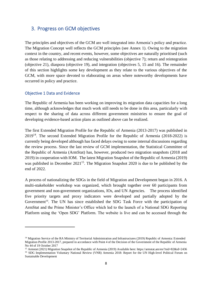### <span id="page-7-0"></span>3. Progress on GCM objectives

The principles and objectives of the GCM are well integrated into Armenia's policy and practice. The Migration Concept well reflects the GCM principles (see Annex 1). Owing to the migration context in the country, and recent events, however, some objectives are naturally prioritised (such as those relating to addressing and reducing vulnerabilities (objective 7); return and reintegration (objective 21), diaspora (objective 19), and integration (objectives 5, 15 and 16). The remainder of this section highlights some key development as they relate to the various objectives of the GCM, with more space devoted to elaborating on areas where noteworthy developments have occurred in policy and practice.

#### <span id="page-7-1"></span>Objective 1 Data and Evidence

The Republic of Armenia has been working on improving its migration data capacities for a long time, although acknowledges that much work still needs to be done in this area, particularly with respect to the sharing of data across different government ministries to ensure the goal of developing evidence-based action plans as outlined above can be realized.

The first Extended Migration Profile for the Republic of Armenia (2013-2017) was published in  $2019<sup>14</sup>$ . The second Extended Migration Profile for the Republic of Armenia (2018-2022) is currently being developed although has faced delays owing to some internal discussions regarding the review process. Since the last review of GCM implementation, the Statistical Committee of the Republic of Armenia (ArmStat) has, however, produced two migration snapshots (2018 and 2019) in cooperation with IOM. The latest Migration Snapshot of the Republic of Armenia (2019) was published in December 2021<sup>15</sup>. The Migration Snapshot 2020 is due to be published by the end of 2022.

A process of nationalizing the SDGs in the field of Migration and Development began in 2016. A multi-stakeholder workshop was organized, which brought together over 60 participants from government and non-government organizations, IOs, and UN Agencies. The process identified five priority targets and proxy indicators were developed and partially adopted by the Government<sup>16</sup>. The UN has since established the SDG Task Force with the participation of ArmStat and the Prime Minister's Office which led to the launch of a National SDG Reporting Platform using the 'Open SDG' Platform. The website is live and can be accessed through the

<sup>&</sup>lt;sup>14</sup> Migration Service of the RA Ministry of Territorial Administration and Infrastructures (2019) Republic of Armenia: Extended Migration Profile 2013-2017, prepared in accordance with Point 4 of the Decision of the Government of the Republic of Armenia No 44 of 19 October 2017

<sup>15</sup> Armstat (2021) Migration Snapshot of the Republic of Armenia (2019) Available here: https://armstat.am/en/?nid=82&id=2436 <sup>16</sup> SDG Implementation Voluntary National Review (VNR) Armenia 2018: Report for the UN High-level Political Forum on Sustainable Development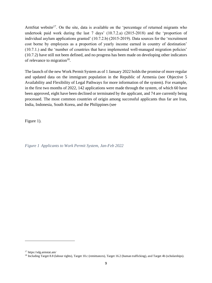ArmStat website<sup>17</sup>. On the site, data is available on the 'percentage of returned migrants who undertook paid work during the last 7 days' (10.7.2.a) (2015-2018) and the 'proportion of individual asylum applications granted' (10.7.2.b) (2015-2019). Data sources for the 'recruitment cost borne by employees as a proportion of yearly income earned in country of destination' (10.7.1.) and the 'number of countries that have implemented well-managed migration policies' (10.7.2) have still not been defined, and no progress has been made on developing other indicators of relevance to migration<sup>18</sup>.

The launch of the new Work Permit System as of 1 January 2022 holds the promise of more regular and updated data on the immigrant population in the Republic of Armenia (see [Objective 5](#page-11-0) [Availability and Flexibility of Legal Pathways](#page-11-0) for more information of the system). For example, in the first two months of 2022, 142 applications were made through the system, of which 60 have been approved, eight have been declined or terminated by the applicant, and 74 are currently being processed. The most common countries of origin among successful applicants thus far are Iran, India, Indonesia, South Korea, and the Philippines (see

<span id="page-8-0"></span>[Figure](#page-8-0) 1).

*Figure 1 Applicants to Work Permit System, Jan-Feb 2022*

<sup>17</sup> https://sdg.armstat.am/

<sup>&</sup>lt;sup>18</sup> Including Target 8.8 (labour rights), Target 10.c (remittances), Target 16.2 (human trafficking), and Target 4b (scholarships).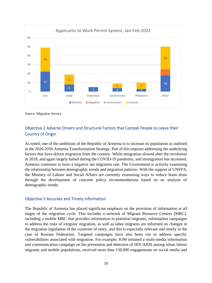

Source: Migration Service

### <span id="page-9-0"></span>Objective 2 Adverse Drivers and Structural Factors that Compel People to Leave their Country of Origin

As noted, one of the ambitions of the Republic of Armenia is to increase its population as outlined in the 2020-2050 Armenia Transformation Strategy. Part of this requires addressing the underlying factors that have driven migration from the country. While emigration slowed after the revolution in 2018, and again largely halted during the COVID-19 pandemic, and immigration has increased, Armenia continues to have a negative net migration rate. The Government is actively examining the relationship between demographic trends and migration patterns. With the support of UNFPA, the Ministry of Labour and Social Affairs are currently examining ways to reduce brain drain through the development of concrete policy recommendations based on an analysis of demographic trends.

#### <span id="page-9-1"></span>Objective 3 Accurate and Timely Information

The Republic of Armenia has placed significant emphasis on the provision of information at all stages of the migration cycle. This includes a network of Migrant Resource Centres (MRC), including a mobile MRC that provides information to potential migrants, information campaigns to address the risks of irregular migration, as well as labor migrants are informed on changes in the migration legislation of the countries of entry, and this is especially relevant and timely in the case of Russian Federation. Targeted campaigns have also been run to address specific vulnerabilities associated with migration. For example, IOM initiated a multi-media information and communication campaign on the prevention and detection of HIV/AIDS among urban labour migrants and mobile populations, received more than 150,000 engagements on social media and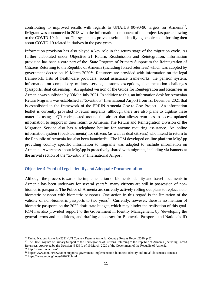contributing to improved results with regards to UNAIDS 90-90-90 targets for Armenia<sup>19</sup>. iMigrant was announced in 2018 with the information component of the project fastpacked owing to the COVID-19 situation. The system has proved useful in identifying people and informing then about COVID-19 related initiatives in the past years.

Information provision has also played a key role in the return stage of the migration cycle. As further elaborated under [Objective 21 Return, Readmission and Reintegration,](#page-19-1) information provision has been a core part of the 'State Program of Primary Support to the Reintegration of Citizens Returning to the Republic of Armenia (including forced returnees) which was adopted by government decree on 19 March  $2020^{20}$ . Returnees are provided with information on the legal framework, lists of health-care providers, social assistance frameworks, the pension system, information on compulsory military service, customs exceptions, documentation challenges (passports, dual citizenship). An updated version of the Guide for Reintegration and Returnees in Armenia was published by IOM in July 2021. In addition to this, an information desk for Armenian Return Migrants was established at "Zvartnots" International Airport from 1st December 2021 that is established in the framework of the ERRIN-Armenia Gov-to-Gov Project. An information leaflet is currently provided to return migrants, although there are also plans to digitise these materials using a QR code posted around the airport that allows returnees to access updated information to support in their return to Armenia. The Return and Reintegration Division of the Migration Service also has a telephone hotline for anyone requiring assistance. An online information system (#backtoarmenia) for citizens (as well as dual citizens) who intend to return to the Republic of Armenia has also been launched<sup>21</sup>. The IOM developed on-line platform MigApp providing country specific information to migrants was adapted to include information on Armenia. Awareness about MigApp is proactively shared with migrants, including via banners at the arrival section of the "Zvartnots" International Airport.

#### <span id="page-10-0"></span>Objective 4 Proof of Legal Identity and Adequate Documentation

Although the process towards the implementation of biometric identity and travel documents in Armenia has been underway for several years<sup>22</sup>, many citizens are still in possession of nonbiometric passports. The Police of Armenia are currently actively rolling out plans to replace nonbiometric passport with biometric passports. One action in this regard is the limitation of the validity of non-biometric passports to two years<sup>23</sup>. Currently, however, there is no mention of biometric passports on the 2022 draft state budget, which may hinder the realisation of this goal. IOM has also provided support to the Government in Identity Management, by 'developing the general terms and conditions, and drafting a contract for Biometric Passports and Nationals ID

<sup>&</sup>lt;sup>19</sup> United Nations Armenia (2021) UN Country Team in Armenia: Country Results Report 2020, p.62.

<sup>&</sup>lt;sup>20</sup> The State Program of Primary Support to the Reintegration of Citizens Returning to the Republic of Armenia (including Forced Returnees, Approved by the Decision N 336-L of 19 March, 2020 of the Government of the Republic of Armenia.

<sup>21</sup> http://www.tundarc.am/

<sup>22</sup> https://www.iom.int/news/iom-supports-government-implementation-biometric-identity-and-travel-documents-armenia

<sup>23</sup> https://news.am/eng/news/670232.html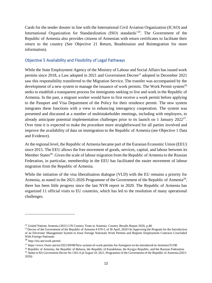Cards for the tender dossier in line with the International Civil Aviation Organization (ICAO) and International Organization for Standardization (ISO) standards<sup>24</sup>. The Government of the Republic of Armenia also provides citizens of Armenian with return certificates to facilitate their return to the country (See [Objective 21 Return, Readmission and Reintegration](#page-19-1) for more information).

#### <span id="page-11-0"></span>Objective 5 Availability and Flexibility of Legal Pathways

While the State Employment Agency of the Ministry of Labour and Social Affairs has issued work permits since 2018, a Law adopted in 2021 and Government Decree<sup>25</sup> adopted in December 2021 saw this responsibility transferred to the Migration Service. The transfer was accompanied by the development of a new system to manage the issuance of work permits. The Work Permit system<sup>26</sup> seeks to establish a transparent process for immigrants seeking to live and work in the Republic of Armenia. In the past, a migrant worker would have to first receive a work permit before applying to the Passport and Visa Department of the Policy for their residence permit. The new system integrates these functions with a view to enhancing interagency cooperation. The system was presented and discussed at a number of multistakeholder meetings, including with employers, to already anticipate potential implementation challenges prior to its launch on 1 January 2022<sup>27</sup>. Over time it is expected to make the procedure more straightforward for all parties involved and improve the availability of data on immigration to the Republic of Armenia (see [Objective 1 Data](#page-7-1)  [and Evidence\)](#page-7-1).

At the regional level, the Republic of Armenia became part of the Eurasian Economic Union (EEU) since 2015. The EEU allows the free movement of goods, services, capital, and labour between its Member States<sup>28</sup>. Given the scale of labour migration from the Republic of Armenia to the Russian Federation, in particular, membership in the EEU has facilitated the easier movement of labour migration from the Republic of Armenia.

While the initiation of the visa liberalisation dialogue (VLD) with the EU remains a priority for Armenia, as stated in the 2021-2026 Programme of the Government of the Republic of Armenia<sup>29</sup>, there has been little progress since the last NVR report in 2020. The Republic of Armenia has organized 11 official visits to EU countries, which has led to the resolution of many operational challenges.

<sup>24</sup> United Nations Armenia (2021) UN Country Team in Armenia: Country Results Report 2020, p.48.

<sup>&</sup>lt;sup>25</sup> Decree of the Government of the Republic of Armenia # 670-L of 30 April, 2020 On Approving the Program for the Introduction of an Electronic Management System to Issue Foreign Nationals Work Permits and Register Employment Contracts Concluded With Foreign Nationals

<sup>26</sup> <http://itis.am/work-permit>

<sup>27</sup> https://www.1lurer.am/en/2021/09/08/New-system-of-work-permits-for-foreigners-to-be-introduced-in-Armenia/55190

<sup>&</sup>lt;sup>28</sup> Republic of Armenia, the Republic of Belarus, the Republic of Kazakhstan, the Kyrgyz Republic, and the Russian Federation <sup>29</sup> Annex to RA Government Decree No 1363-A pf August 18, 2021, Programme of the Government of the Republic of Armenia (2021-

<sup>2026)</sup>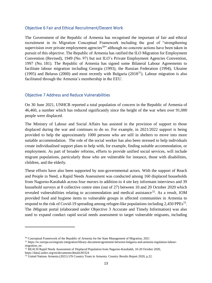#### <span id="page-12-0"></span>Objective 6 Fair and Ethical Recruitment/Decent Work

The Government of the Republic of Armenia has recognised the important of fair and ethical recruitment in its Migration Conceptual Framework including the goal of "strengthening supervision over private employment agencies<sup>30</sup> although no concrete actions have been taken in pursuit of this objective. The Republic of Armenia has ratified the ILO Migration for Employment Convention (Revised), 1949 (No. 97) but not ILO's [Private Employment Agencies Convention,](https://www.ilo.org/dyn/normlex/en/f?p=NORMLEXPUB:12100:0::NO:12100:P12100_INSTRUMENT_ID:312326:NO)  [1997 \(No.](https://www.ilo.org/dyn/normlex/en/f?p=NORMLEXPUB:12100:0::NO:12100:P12100_INSTRUMENT_ID:312326:NO) 181). The Republic of Armenia has signed some Bilateral Labour Agreements to facilitate labour migration including Georgia (1993), the Russian Federation (1994), Ukraine (1995) and Belarus (2000) and most recently with Bulgaria (2018<sup>31</sup>). Labour migration is also facilitated through the Armenia's membership in the EEU.

#### <span id="page-12-1"></span>Objective 7 Address and Reduce Vulnerabilities

On 30 June 2021, UNHCR reported a total population of concern in the Republic of Armenia of 46,460, a number which has reduced significantly since the height of the war when over 91,000 people were displaced.

The Ministry of Labour and Social Affairs has assisted in the provision of support to those displaced during the war and continues to do so. For example, in 2021/2022 support is being provided to help the approximately 1000 persons who are still in shelters to move into more suitable accommodation. The role of the social worker has also been stressed to help individuals create individualised support plans to help with, for example, finding suitable accommodation, or employment. As part of broader reforms, efforts to provide unified social services, will include migrant populations, particularly those who are vulnerable for instance, those with disabilities, children, and the elderly.

These efforts have also been supported by non-governmental actors. With the support of Reach and People in Need, a Rapid Needs Assessment was conducted among 160 displaced households from Nagorno-Karabakh across four *marzes* in addition to 4 site key informant interviews and 39 household surveys at 8 collective centre sites (out of 27) between 10 and 20 October 2020 which revealed vulnerabilities relating to accommodation and medical assistance<sup>32</sup>. As a result, IOM provided food and hygiene items to vulnerable groups in affected communities in Armenia to respond to the risk of Covid-19 spreading among refugee-like populations including 2,450 PPEs<sup>33</sup>. The iMigrant portal (elaborated under Objective 3 [Accurate and Timely Information\)](#page-9-1) was also used to expand conduct rapid social needs assessment to target vulnerable migrants, including

<sup>&</sup>lt;sup>30</sup> Conceptual Framework of the Republic of Armenia for the State Management of Migration, 2021

<sup>31</sup> https://ec.europa.eu/migrant-integration/library-document/agreement-between-bulgaria-and-armenia-regulation-labourmigration en

<sup>&</sup>lt;sup>32</sup> REACH Rapid Needs Assessment of Displaced Population from Nagorno-Karabakh, 10-20 October 2020, https://data2.unhcr.org/en/documents/details/83324

<sup>33</sup> United Nations Armenia (2021) UN Country Team in Armenia: Country Results Report 2020, p.22.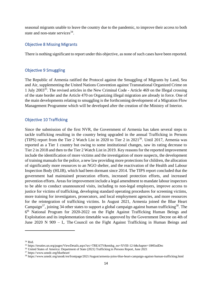seasonal migrants unable to leave the country due to the pandemic, to improve their access to both state and non-state services<sup>34</sup>.

#### <span id="page-13-0"></span>Objective 8 Missing Migrants

There is nothing significant to report under this objective, as none of such cases have been reported.

#### <span id="page-13-1"></span>Objective 9 Smuggling

The Republic of Armenia ratified the Protocol against the Smuggling of Migrants by Land, Sea and Air, supplementing the United Nations Convention against Transnational Organized Crime on 1 July 2003<sup>35</sup>. The revised articles in the New Criminal Code - Article 469 on the Illegal crossing of the state border and the Article 470 on Organizing illegal migration are already in force. One of the main developments relating to smuggling is the forthcoming development of a Migration Flow Management Programme which will be developed after the creation of the Ministry of Interior.

#### <span id="page-13-2"></span>Objective 10 Trafficking

Since the submission of the first NVR, the Government of Armenia has taken several steps to tackle trafficking resulting in the country being upgraded in the annual Trafficking in Persons (TIPS) report from the Tier 2 Watch List in 2020 to Tier 2 in  $2021^{36}$ . Until 2017, Armenia was reported as a Tier 1 country but owing to some institutional changes, saw its rating decrease to Tier 2 in 2018 and then to the Tier 2 Watch List in 2019. Key reasons for the reported improvement include the identification of more victims and the investigation of more suspects, the development of training manuals for the police, a new law providing more protections for children, the allocation of significantly more resources to an NGO shelter, and the reactivation of the Health and Labour Inspection Body (HLIB), which had been dormant since 2014. The TIPS report concluded that the government had maintained prosecution efforts, increased protection efforts, and increased prevention efforts. Areas for improvement include a legal amendment to mandate labour inspectors to be able to conduct unannounced visits, including to non-legal employers, improve access to justice for victims of trafficking, developing standard operating procedures for screening victims, more training for investigators, prosecutors, and local employment agencies, and more resources for the reintegration of trafficking victims. In August 2021, Armenia joined the Blue Heart Campaign<sup>37</sup>, joining 34 other states to support a global campaign against human trafficking<sup>38</sup>. The 6<sup>th</sup> National Program for 2020-2022 on the Fight Against Trafficking Human Beings and Exploitation and its implementation timetable was approved by the Government Decree on 4th of June 2020 N 909 – Լ. The [Council on the Fight Against Trafficking in Human Beings and](https://www.arlis.am/DocumentView.aspx?docid=112305) 

<sup>34</sup> Ibid.

<sup>35</sup> https://treaties.un.org/pages/ViewDetails.aspx?src=TREATY&mtdsg\_no=XVIII-12-b&chapter=18#EndDec

<sup>&</sup>lt;sup>36</sup> United States of America: Department of State (2021) Trafficking in Persons Report, June 2021

<sup>37</sup> https://www.unodc.org/blueheart/

<sup>38</sup> <https://www.unodc.org/unodc/en/frontpage/2021/August/armenia-joins-blue-heart-campaign-against-human-trafficking.html>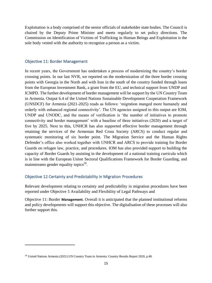[Exploitation](https://www.arlis.am/DocumentView.aspx?docid=112305) is a body comprised of the senior officials of stakeholder state bodies. The Council is chaired by the Deputy Prime Minister and meets regularly to set policy directions. The Commission on Identification of Victims of Trafficking in Human Beings and Exploitation is the sole body vested with the authority to recognize a person as a victim.

#### <span id="page-14-0"></span>Objective 11: Border Management

In recent years, the Government has undertaken a process of modernizing the country's border crossing points. In our last NVR, we reported on the modernization of the three border crossing points with Georgia in the North and with Iran in the south of the country funded through loans from the European Investment Bank, a grant from the EU, and technical support from UNDP and ICMPD. The further development of border management will be support by the UN Country Team in Armenia. Output 6.4 of the United Nations Sustainable Development Cooperation Framework (UNSDCF) for Armenia (2021-2025) reads as follows: 'migration manged more humanely and orderly with enhanced regional connectivity'. The UN agencies assigned to this output are IOM, UNDP and UNODC, and the means of verification is 'the number of initiatives to promote connectivity and border management' with a baseline of three initiatives (2020) and a target of five by 2025. Next to this, UNHCR has also supported effective border management through retaining the services of the Armenian Red Cross Society (ARCS) to conduct regular and systematic monitoring of six border point. The Migration Service and the Human Rights Defender's office also worked together with UNHCR and ARCS to provide training for Border Guards on refugee law, practice, and procedures. IOM has also provided support to building the capacity of Border Guards by assisting in the development of a national training curricula which is in line with the European Union Sectoral Qualifications Framework for Border Guarding, and mainstreams gender equality topics<sup>39</sup>.

#### <span id="page-14-1"></span>Objective 12 Certainty and Predictability in Migration Procedures

Relevant development relating to certainty and predictability in migration procedures have been reported under Objective 5 [Availability and Flexibility of Legal Pathways](#page-11-0) and

[Objective 11: Border](#page-14-0) **Management**. Overall it is anticipated that the planned institutional reforms and policy developments will support this objective. The digitalisation of these processes will also further support this.

<sup>&</sup>lt;sup>39</sup> United Nations Armenia (2021) UN Country Team in Armenia: Country Results Report 2020, p.48.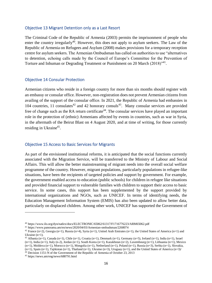#### <span id="page-15-0"></span>Objective 13 Migrant Detention only as a Last Resort

The Criminal Code of the Republic of Armenia (2003) permits the imprisonment of people who enter the country irregularly<sup>40</sup>. However, this does not apply to asylum seekers. The Law of the Republic of Armenia on Refugees and Asylum (2008) makes provisions for a temporary reception centre for asylum seekers. The Armenian Ombudsman has called on authorities to use "alternatives to detention, echoing calls made by the Council of Europe's Committee for the Prevention of Torture and Inhuman or Degrading Treatment or Punishment on 20 March (2018)<sup>\*41</sup>.

#### <span id="page-15-1"></span>Objective 14 Consular Protection

Armenian citizens who reside in a foreign country for more than six months should register with an embassy or consular office. However, non-registration does not prevent Armenian citizens from availing of the support of the consular office. In 2021, the Republic of Armenia had embassies in 104 countries, 11 consulates<sup>42</sup> and 42 honorary consuls<sup>43</sup>. Many consular services are provided free of change such as the RA return certificate<sup>44</sup>. The consular services have played an important role in the protection of (ethnic) Armenians affected by events in countries, such as war in Syria, in the aftermath of the Beirut Blast on 4 August 2020, and at time of writing, for those currently residing in Ukraine<sup>45</sup>.

#### <span id="page-15-2"></span>Objective 15 Access to Basic Services for Migrants

As part of the envisioned institutional reforms, it is anticipated that the social functions currently associated with the Migration Service, will be transferred to the Ministry of Labour and Social Affairs. This will allow the better mainstreaming of migrant needs into the overall social welfare programme of the country. However, migrant populations, particularly populations in refugee-like situations, have been the recipients of targeted policies and support by government. For example, the government enabled access to education (public schools) for children in refugee like situations and provided financial support to vulnerable families with children to support their access to basic service. In some cases, this support has been supplemented by the support provided by international organizations and NGOs, such as UNICEF. In terms of identifying needs, the Education Management Information System (EMIS) has also been updated to allow better data, particularly on displaced children. Among other work, UNICEF has supported the Government of

<sup>40</sup> <https://www.ilo.org/dyn/natlex/docs/ELECTRONIC/65062/61317/F1716776223/ARM65062.pdf>

<sup>41</sup> https://www.panorama.am/en/news/2020/04/03/Armenian-ombudsman/2268074

<sup>&</sup>lt;sup>42</sup> France (n=2), Georgia (n=1), Russia (n=4), Syria (n=1), United Arab Emirates (n=1), the United States of America (n=1) and Ukraine (n=1).

<sup>43</sup> Albania (n=1), Canada (n=1), Chile (n=1), Croatia (n=1), Denmark (n=1), Germany (n=5), Ireland (n=1), India (n=1), Israel (n=1), India (n=1), Italy (n-2), Jordan (n=1), South Korea (n=1), Kazakhstan (n=2), Luxembourg (n=1), Lithuania (n=1), Mexico (n=1), Moldova (n=1), Morocco (n=1), Mongolia (n=1), Netherland (n=1), Poland (n=1), Russia (n=3), Serbia (n=1), Slovakia,  $(n=1)$ , Spain  $(n=1)$ , Tajikistan  $(n=1)$ , Thailand  $(n=1)$ , Ukraine  $(n=3)$ , Uruguay  $(n=1)$ , and the United States of America  $(n=3)$ /

<sup>44</sup> Decision 1151-N of the Government of the Republic of Armenia of October 23, 2013

<sup>45</sup> <https://news.am/eng/news/688791.html>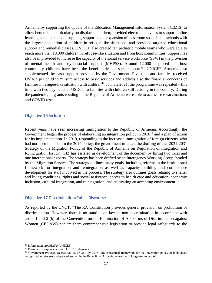Armenia by supporting the update of the Education Management Information System (EMIS) to allow better data, particularly on displaced children; provided electronic devices to support online learning and other school supplies, supported the expansion of classroom space in ten schools with the largest population of children in refugee-like situations, and provided targeted educational support and remedial classes. UNICEF also created ten pediatric mobile teams who were able to reach more than 10,000 children in refugee-like situation and from host communities. Support has also been provided to increase the capacity of the social service workforce (SSW) in the provision of mental health and psychosocial support (MHPSS). Around 12,000 displaced and host community children have been the beneficiaries of such support<sup>46</sup>. UNICEF Armenia also supplemented the cash support provided by the Government. Five thousand families received USD65 per child to "ensure access to basic services and address also the financial concerns of families in refugee-like situation with children<sup>47</sup>. In late 2021, the programme was repeated – this time with two payments of USD65, to families with children still residing in the country. During the pandemic, migrants residing in the Republic of Armenia were able to access free vaccinations and COVID tests.

#### <span id="page-16-0"></span>Objective 16 Inclusion

Recent years have seen increasing immigration to the Republic of Armenia. Accordingly, the Government began the process of elaborating an integration policy in 2016<sup>48</sup> and a plan of action for its implementation. In 2019, responding to the increased immigration of foreign citizens, who had not been included in the 2016 policy, the government initiated the drafting of the '2021-2031 Strategy of the Migration Policy of the Republic of Armenia on Regulation of Integration and Reintegration Issues'. GIZ has assisted in development of the document by hiring two local and one international experts. The strategy has been drafted by an Interagency Working Group, headed by the Migration Service. The strategy outlines many goals, including reforms in the institutional framework for integration and reintegration as well as capacity building and competence development for staff involved in the process. The strategy also outlines goals relating to shelter and living conditions, rights and social assistance, access to health care and education, economic inclusion, cultural integration, and reintegration, and cultivating an accepting environment.

#### <span id="page-16-1"></span>Objective 17 Discrimination/Public Discourse

As reported by the UNCT: "The RA Constitution provides general provision on prohibition of discrimination. However, there is no stand-alone law on non-discrimination in accordance with article1 and 2 (b) of the [Convention on the Elimination of All Forms of Discrimination against](https://www.un.org/womenwatch/daw/cedaw/cedaw.htm)  [Women \(CEDAW\)](https://www.un.org/womenwatch/daw/cedaw/cedaw.htm) nor are there comprehensive legislation to provide legal safeguards to the

<sup>46</sup> Information provided by UNICEF

<sup>47</sup> Personal correspondence with UNICEF Armenia

<sup>48</sup> Government Protocol Decree No. 28 on 21 July 2016 'The conceptual framework for the integration policy of individuals recognized as refugees and granted asylum in the Republic of Armenia, as well as of long-term migrants'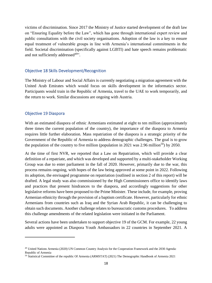victims of discrimination. Since 2017 the Ministry of Justice started development of the draft law on "Ensuring Equality before the Law", which has gone through international expert review and public consultations with the civil society organisations. Adoption of the law is a key to ensure equal treatment of vulnerable groups in line with Armenia's international commitments in the field. Societal discrimination (specifically against LGBTI) and hate speech remains problematic and not sufficiently addressed<sup>49</sup>".

#### <span id="page-17-0"></span>Objective 18 Skills Development/Recognition

The Ministry of Labour and Social Affairs is currently negotiating a migration agreement with the United Arab Emirates which would focus on skills development in the informatics sector. Participants would train in the Republic of Armenia, travel to the UAE to work temporarily, and the return to work. Similar discussions are ongoing with Austria.

#### <span id="page-17-1"></span>Objective 19 Diaspora

With an estimated diaspora of ethnic Armenians estimated at eight to ten million (approximately three times the current population of the country), the importance of the diaspora to Armenia requires little further elaboration. Mass repatriation of the diaspora is a strategic priority of the Government of the Republic of Armenia to address demographic challenges. The goal is to grow the population of the country to five million (population in 2021 was 2.96 million<sup>50</sup>) by 2050.

At the time of first NVR, we reported that a Law on Repatriation, which will provide a clear definition of a repatriate, and which was developed and supported by a multi-stakeholder Working Group was due to enter parliament in the fall of 2020. However, primarily due to the war, this process remains ongoing, with hopes of the law being approved at some point in 2022. Following its adoption, the envisaged programme on repatriation (outlined in section 2 of this report) will be drafted. A legal study was also commissioned by the High Commissioners office to identify laws and practices that present hindrances to the diaspora, and accordingly suggestions for other legislative reforms have been proposed to the Prime Minister. These include, for example, proving Armenian ethnicity through the provision of a baptism certificate. However, particularly for ethnic Armenians from countries such as Iraq and the Syrian Arab Republic, it can be challenging to obtain such documents. Another challenge relates to bureaucratic customs procedures. To address this challenge amendments of the related legislation were initiated in the Parliament.

Several actions have been undertaken to support objective 19 of the GCM. For example, 22 young adults were appointed as Diaspora Youth Ambassadors in 22 countries in September 2021. A

<sup>49</sup> United Nations Armenia (2020) UN Common Country Analysis for the Cooperation Framework and the 2030 Agenda: Republic of Armenia

<sup>50</sup> Statistical Committee of the republic Of Armenia (ARMSTAT) (2021) The Demographic Handbook of Armenia 2021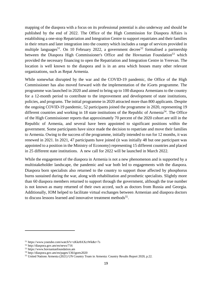mapping of the diaspora with a focus on its professional potential is also underway and should be published by the end of 2022. The Office of the High Commission for Diaspora Affairs is establishing a one-stop Repatriation and Integration Centre to support repatriates and their families in their return and later integration into the country which includes a range of services provided in multiple languages<sup>51</sup>. On 10 February 2022, a government decree<sup>52</sup> formalised a partnership between the [Diaspora High Commissioner's Office](https://www.facebook.com/DiasporaGovAm?__cft__%5b0%5d=AZWNoJPe5Gic4EgKtyIXXxmtmXT7pmEeeMqZncN_P6GHVdE6RSecpLFtF4eQt9WkoRHoO571uvH6RGXCZJ9mCSk-CWL9ZRMGVr_DUXalkVA9H_mKREKvxWgQi2k2eOmDLNaZ7SFkieuXrZ1jkKpyn1xZ&__tn__=-UC%2CP-R) and the Hovnanian Foundation<sup>53</sup> which provided the necessary financing to open the Repatriation and Integration Centre in Yerevan. The location is well known to the diaspora and is in an area which houses many other relevant organizations, such as Repat Armenia.

While somewhat disrupted by the war and the COVID-19 pandemic, the Office of the High Commissioner has also moved forward with the implementation of the iGorts programme. The programme was launched in 2020 and aimed to bring up to 100 diaspora Armenians to the country for a 12-month period to contribute to the improvement and development of state institutions, policies, and programs. The initial programme in 2020 attracted more than 800 applicants. Despite the ongoing COVID-19 pandemic, 52 participants joined the programme in 2020, representing 19 different countries and working in 18 state institutions of the Republic of Armenia<sup>54</sup>. The Office of the High Commissioner reports that approximately 70 percent of the 2020 cohort are still in the Republic of Armenia, and several have been appointed to significant positions within the government. Some participants have since made the decision to repatriate and move their families to Armenia. Owing to the success of the programme, initially intended to run for 12 months, it was renewed in 2021. In 2021, 47 participants have joined (it was initially 48 but one participant was appointed to a position in the Ministry of Economy) representing 15 different countries and placed in 25 different state institutions. A new call for 2022 will be launched in March 2022.

While the engagement of the diaspora in Armenia is not a new phenomenon and is supported by a multistakeholder landscape, the pandemic and war both led to engagements with the diaspora. Diaspora born specialists also returned to the country to support those affected by phosphorus burns sustained during the war, along with rehabilitation and prosthetic specialists. Slightly more than 60 diaspora members returned to support through the government, although the true number is not known as many returned of their own accord, such as doctors from Russia and Georgia. Additionally, IOM helped to facilitate virtual exchanges between Armenian and diaspora doctors to discuss lessons learned and innovative treatment methods<sup>55</sup>.

<sup>51</sup> https://www.youtube.com/watch?v=zKkr8AXcrWk&t=7s

<sup>52</sup> http://diaspora.gov.am/en/news/716

<sup>53</sup> https://www.hovnanianfoundation.am

<sup>54</sup> http://diaspora.gov.am/en/pages/136/igorts2020

<sup>55</sup> United Nations Armenia (2021) UN Country Team in Armenia: Country Results Report 2020, p.22.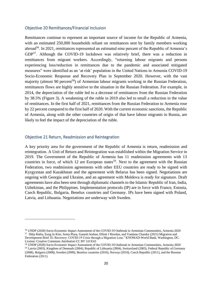#### <span id="page-19-0"></span>Objective 20 Remittances/Financial Inclusion

Remittances continue to represent an important source of income for the Republic of Armenia, with an estimated 250,000 households reliant on remittances sent by family members working abroad<sup>56</sup>. In 2021, remittances represented an estimated nine percent of the Republic of Armenia's GDP<sup>57</sup>. Although the COVID-19 lockdown was relatively brief, there was a reduction in remittances from migrant workers. Accordingly, "returning labour migrants and persons experiencing loss/reduction in remittances due to the pandemic and associated mitigated measures" were identified as an 'at risk' population in the United Nations in Armenia COVID-19 Socio-Economic Response and Recovery Plan in September 2020. However, with the vast majority (almost 90 percent<sup>58</sup>) of Armenian labour migrants working in the Russian Federation, remittances flows are highly sensitive to the situation in the Russian Federation. For example, in 2014, the depreciation of the ruble led to a decrease of remittances from the Russian Federation by 38.5% (Figure 3). A weakening of the ruble in 2019 also led to small a reduction in the value of remittances. In the first half of 2021, remittances from the Russian Federation to Armenia rose by 22 percent compared to the first half of 2020. With the current economic sanctions, the Republic of Armenia, along with the other countries of origin of that have labour migrants in Russia, are likely to feel the impact of the depreciation of the ruble.

#### <span id="page-19-1"></span>Objective 21 Return, Readmission and Reintegration

A key priority area for the government of the Republic of Armenia is return, readmission and reintegration. A Unit of Return and Reintegration was established within the Migration Service in 2019. The Government of the Republic of Armenia has 11 readmission agreements with 13 countries in force, of which 12 are European states<sup>59</sup>. Next to the agreement with the Russian Federation, two readmission agreements with other EEU countries are ready to be signed with Kyrgyzstan and Kazakhstan and the agreement with Belarus has been signed. Negotiations are ongoing with Georgia and Ukraine, and an agreement with Moldova is ready for signature. Draft agreements have also been sent through diplomatic channels to the Islamic Republic of Iran, India, Uzbekistan, and the Philippines. Implementation protocols (IP) are in force with France, Estonia, Czech Republic, Bulgaria, Benelux countries and Germany. IPs have been signed with Poland, Latvia, and Lithuania. Negotiations are underway with Sweden.

<sup>56</sup> UNDP (2020) Socio-Economic Impact Assessment of the COVID-19 Outbreak in Armenian Communities, Armenia 2020 57 Dilip Ratha, Eung Ju Kim, Sonia Plaza, Ganesh Seshan, Elliott J Riordan, and Vandana Chandra (2021) Migration and Development Brief 35: Recovery: COVID-19 Crisis through a Migration Lens." KNOMAD-World Bank, Washington, DC. License: Creative Commons Attribution CC BY 3.0 IGO

<sup>58</sup> UNDP (2020) Socio-Economic Impact Assessment of the COVID-19 Outbreak in Armenian Communities, Armenia 2020 <sup>59</sup> Latvia (2003), Kingdom of Denmark (2004), Republic of Lithuania (2004), Switzerland (2005), Federal Republic of Germany (2008), Bulgaria (2008), Sweden (2009), Benelux countries (2010), Norway (2010), Czech Republic (2011), and the Russian Federation (2011).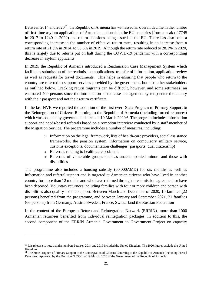Between 2014 and 2020<sup>60</sup>, the Republic of Armenia has witnessed an overall decline in the number of first-time asylum applications of Armenian nationals in the EU countries (from a peak of 7745 in 2017 to 1240 in 2020) and return decisions being issued in the EU. There has also been a corresponding increase in the number of effective return rates, resulting in an increase from a return rate of 21.3% in 2014, to 55.6% in 2019. Although the return rate reduced to 28.1% in 2020, this is largely due to returns put on halt during the COVID-19 pandemic with a corresponding decrease in asylum applicants.

In 2019, the Republic of Armenia introduced a Readmission Case Management System which facilitates submission of the readmission applications, transfer of information, application review as well as requests for travel documents. This helps in ensuring that people who return to the country are referred to support services provided by the government, but also other stakeholders as outlined below. Tracking return migrants can be difficult, however, and some returnees (an estimated 400 persons since the introduction of the case management system) enter the county with their passport and not their return certificate.

In the last NVR we reported the adoption of the first ever 'State Program of Primary Support to the Reintegration of Citizens Returning to the Republic of Armenia (including forced returnees) which was adopted by government decree on 19 March 2020<sup>61</sup>. The program includes information support and needs-based referrals based on a reception interview conducted by a staff member of the Migration Service. The programme includes a number of measures, including:

- o Information on the legal framework, lists of health-care providers, social assistance frameworks, the pension system, information on compulsory military service, customs exceptions, documentation challenges (passports, dual citizenship)
- o Referrals relating to health-care problems
- o Referrals of vulnerable groups such as unaccompanied minors and those with disabilities

The programme also includes a housing subsidy (60,000AMD) for six months as well as information and referral support and is targeted at Armenian citizens who have lived in another country for more than 12 months and who have returned through a readmission agreement or have been deported. Voluntary returnees including families with four or more children and person with disabilities also qualify for the support. Between March and December of 2020, 10 families (22 persons) benefited from the programme, and between January and September 2021, 21 families (66 persons) from Germany, Austria Sweden, France, Switzerland the Russian Federation

In the context of the European Return and Reintegration Network (ERRIN), more than 1000 Armenian returnees benefited from individual reintegration packages. In addition to this, the second component of the ERRIN Armenia Government to Government Project on capacity

 $60$  It is relevant to note that the numbers between 2014 and 2019 included the United Kingdom. The 2020 figures exclude the United Kingdom.

<sup>&</sup>lt;sup>61</sup> The State Program of Primary Support to the Reintegration of Citizens Returning to the Republic of Armenia (including Forced Returnees, Approved by the Decision N 336-L of 19 March, 2020 of the Government of the Republic of Armenia.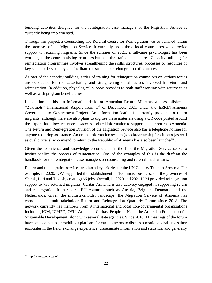building activities designed for the reintegration case managers of the Migration Service is currently being implemented.

Through this project, a Counselling and Referral Centre for Reintegration was established within the premises of the Migration Service. It currently hosts three local counsellors who provide support to returning migrants. Since the summer of 2021, a full-time psychologist has been working in the centre assisting returnees but also the staff of the centre. Capacity-building for reintegration programmes involves strengthening the skills, structures, processes or resources of key stakeholders so they can facilitate the sustainable reintegration of returnees.

As part of the capacity building, series of training for reintegration counselors on various topics are conducted for the capacitating and straightening of all actors involved in return and reintegration. In addition, phycological support provides to both staff working with returnees as well as with program beneficiaries.

In addition to this, an information desk for Armenian Return Migrants was established at "Zvartnots" International Airport from 1<sup>st</sup> of December, 2021 under the ERRIN-Armenia Government to Government Project. An information leaflet is currently provided to return migrants, although there are also plans to digitise these materials using a QR code posted around the airport that allows returnees to access updated information to support in their return to Armenia. The Return and Reintegration Division of the Migration Service also has a telephone hotline for anyone requiring assistance. An online information system (#backtoarmenia) for citizens (as well as dual citizens) who intend to return to the Republic of Armenia has also been launched<sup>62</sup>.

Given the experience and knowledge accumulated in the field the Migration Service seeks to institutionalize the process of reintegration. One of the examples of this is the drafting the handbook for the reintegration case managers on counselling and referral mechanisms.

Return and reintegration services are also a key priority for the UN Country Team in Armenia. For example, in 2020, IOM supported the establishment of 100 micro-businesses in the provinces of Shirak, Lori and Tavush, creating166 jobs. Overall, in 2020 and 2021 IOM provided reintegration support to 735 returned migrants. Caritas Armenia is also actively engaged in supporting return and reintegration from several EU countries such as Austria, Belgium, Denmark, and the Netherlands. Given the multistakeholder landscape, the Migration Service of Armenia has coordinated a multistakeholder Return and Reintegration Quarterly Forum since 2018. The network currently has members from 9 international and local non-governmental organizations including IOM, ICMPD, OFII, Armenian Caritas, People in Need, the Armenian Foundation for Sustainable Development, along with several state agencies. Since 2018, 11 meetings of the forum have been convened, providing a platform for various actors to discuss operational challenges they encounter in the field, exchange experience, disseminate information and statistics, and generally

<sup>62</sup> http://www.tundarc.am/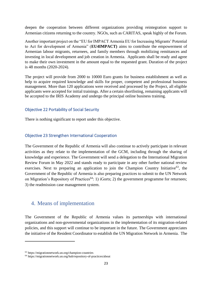deepen the cooperation between different organizations providing reintegration support to Armenian citizens returning to the country. NGOs, such as CARITAS, speak highly of the Forum.

Another important project on the "EU for IMPACT Armenia EU for Increasing Migrants' Potential to Act for development of Armenia" (**EU4IMPACT)** aims to contribute the empowerment of Armenian labour migrants, returnees, and family members through mobilizing remittances and investing in local development and job creation in Armenia. Applicants shall be ready and agree to make their own investment in the amount equal to the requested grant. Duration of the project is 48 months (2020-2024).

The project will provide from 2000 to 10000 Euro grants for business establishment as well as help to acquire required knowledge and skills for proper, competent and professional business management. More than 120 applications were received and processed by the Project, all eligible applicants were accepted for initial trainings. After a certain shortlisting, remaining applicants will be accepted to the IRIS Academy and undergo the principal online business training.

### <span id="page-22-0"></span>Objective 22 Portability of Social Security

There is nothing significant to report under this objective.

### <span id="page-22-1"></span>Objective 23 Strengthen International Cooperation

The Government of the Republic of Armenia will also continue to actively participate in relevant activities as they relate to the implementation of the GCM, including through the sharing of knowledge and experience. The Government will send a delegation to the International Migration Review Forum in May 2022 and stands ready to participate in any other further national review exercises. Next to preparing an application to join the Champion Country Initiative<sup>63</sup>, the Government of the Republic of Armenia is also preparing practices to submit to the UN Network on Migration's Repository of Practices<sup>64</sup>: 1) iGorts; 2) the government programme for returnees; 3) the readmission case management system.

# <span id="page-22-2"></span>4. Means of implementation

The Government of the Republic of Armenia values its partnerships with international organizations and non-governmental organizations in the implementation of its migration-related policies, and this support will continue to be important in the future. The Government appreciates the initiative of the Resident Coordinator to establish the UN Migration Network in Armenia. The

<sup>63</sup> https://migrationnetwork.un.org/champion-countries

<sup>64</sup> https://migrationnetwork.un.org/hub/repository-of-practices/about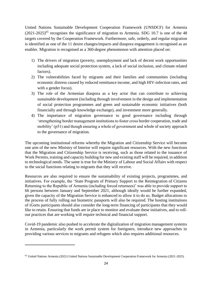United Nations Sustainable Development Cooperation Framework (UNSDCF) for Armenia  $(2021-2025)^{65}$  recognises the significance of migration to Armenia. SDG 10.7 is one of the 48 targets covered by the Cooperation Framework. Furthermore, safe, orderly, and regular migration is identified as one of the 11 desire changes/impacts and diaspora engagement is recognised as an enabler. Migration is recognised as a 360-degree phenomenon with attention placed on:

- 1) The drivers of migration (poverty, unemployment and lack of decent work opportunities including adequate social protection system, a lack of social inclusion, and climate related factors).
- 2) The vulnerabilities faced by migrants and their families and communities (including economic distress caused by reduced remittance income, and high HIV-infection rates, and with a gender focus).
- 3) The role of the Armenian diaspora as a key actor that can contribute to achieving sustainable development (including through involvement in the design and implementation of social protection programmes and green and sustainable economic initiatives (both financially and through knowledge exchange), and investment more generally.
- 4) The importance of migration governance to good governance including through 'strengthening border management institutions to foster cross border cooperation, trade and mobility' (p51) and though ensuring a whole of government and whole of society approach to the governance of migration.

The upcoming institutional reforms whereby the Migration and Citizenship Service will become one arm of the new Ministry of Interior will require significant resources. With the new functions that the Migration and Citizenship Service is receiving, such as those related to the issuance of Work Permits, training and capacity building for new and existing staff will be required, in addition to technological needs. The same is true for the Ministry of Labour and Social Affairs with respect to the social functions relating to migrants that they will receive.

Resources are also required to ensure the sustainability of existing projects, programmes, and initiatives. For example, the 'State Program of Primary Support to the Reintegration of Citizens Returning to the Republic of Armenia (including forced returnees)' was able to provide support to 66 persons between January and September 2021, although ideally would be further expanded, given the capacity of the Migration Service is enhanced to allow it to do so. Budget allocations to the process of fully rolling out biometric passports will also be required. The hosting institutions of iGorts participants should also consider the long-term financing of participants that they would like to retain. Ensuring that funds are in place to monitor and evaluate these initiatives, and to rollout practices that are working will require technical and financial support.

Covid-19 pandemic also pushed to accelerate the digitalization of migration management systems in Armenia, particularly the work permit system for foreigners, introduce new approaches in providing various services to migrants and refugees which also requires additional resources.

<sup>65</sup> United Nations Armenia (2021) United Nations Sustainable Development Cooperation Framework for Armenia (2021-2025)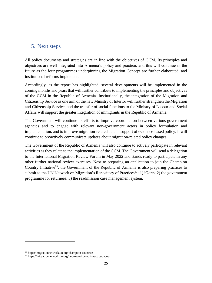# <span id="page-24-0"></span>5. Next steps

All policy documents and strategies are in line with the objectives of GCM. Its principles and objectives are well integrated into Armenia's policy and practice, and this will continue in the future as the four programmes underpinning the Migration Concept are further elaborated, and institutional reforms implemented.

Accordingly, as the report has highlighted, several developments will be implemented in the coming months and years that will further contribute to implementing the principles and objectives of the GCM in the Republic of Armenia. Institutionally, the integration of the Migration and Citizenship Service as one arm of the new Ministry of Interior will further strengthen the Migration and Citizenship Service, and the transfer of social functions to the Ministry of Labour and Social Affairs will support the greater integration of immigrants in the Republic of Armenia.

The Government will continue its efforts to improve coordination between various government agencies and to engage with relevant non-government actors in policy formulation and implementation, and to improve migration-related data in support of evidence-based policy. It will continue to proactively communicate updates about migration-related policy changes.

The Government of the Republic of Armenia will also continue to actively participate in relevant activities as they relate to the implementation of the GCM. The Government will send a delegation to the International Migration Review Forum in May 2022 and stands ready to participate in any other further national review exercises. Next to preparing an application to join the Champion Country Initiative<sup>66</sup>, the Government of the Republic of Armenia is also preparing practices to submit to the UN Network on Migration's Repository of Practices<sup>67</sup>: 1) iGorts; 2) the government programme for returnees; 3) the readmission case management system.

<sup>66</sup> https://migrationnetwork.un.org/champion-countries

<sup>67</sup> https://migrationnetwork.un.org/hub/repository-of-practices/about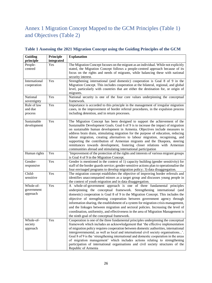# <span id="page-25-0"></span>Annex 1 Migration Concept Mapped to the GCM Principles (Table 1) and Objectives (Table 2)

| Guiding       | Principle  | <b>Explanation</b>                                                                                                                            |
|---------------|------------|-----------------------------------------------------------------------------------------------------------------------------------------------|
| principle     | integrated |                                                                                                                                               |
| People-       | Yes        | The Migration Concept focuses on the migrant as an individual. While not explicitly                                                           |
| centred       |            | stated, the Migration Concept follows a people-centred approach because of its                                                                |
|               |            | focus on the rights and needs of migrants, while balancing these with national                                                                |
|               |            | security interest.                                                                                                                            |
| International | Yes        | Strengthening international (and domestic) cooperation is Goal 8 of 9 in the                                                                  |
| cooperation   |            | Migration Concept. This includes cooperation at the bilateral, regional, and global                                                           |
|               |            | level, particularly with countries that are either the destination for, or origin of<br>migrants.                                             |
| National      | Yes        | National security is one of the four core values underpinning the conceptual                                                                  |
| sovereignty   |            | framework.                                                                                                                                    |
| Rule of law   | Yes        | Importance is accorded to this principle in the management of irregular migration                                                             |
| and due       |            | cases, in the improvement of border referral procedures, in the expulsion process                                                             |
| process       |            | including detention, and in return processes.                                                                                                 |
| Sustainable   | Yes        | The Migration Concept has been designed to support the achievement of the                                                                     |
| development   |            | Sustainable Development Goals. Goal 6 of 9 is to increase the impact of migration                                                             |
|               |            | on sustainable human development in Armenia. Objectives include measures to                                                                   |
|               |            | address brain drain, stimulating migration for the purpose of education, reducing                                                             |
|               |            | labour migration, creating alternatives to labour migration, recognising, and                                                                 |
|               |            | supporting the contribution of Armenian migrants and the Diaspora, steering                                                                   |
|               |            | remittances towards development, fostering closer relations with Armenian                                                                     |
|               |            | communities abroad and stimulating international participation                                                                                |
| Human rights  | Yes        | 'Improvement of the protection of the rights and interests of various migrant groups                                                          |
|               |            | is Goal 4 of 9 in the Migration Concept.                                                                                                      |
| Gender-       | Yes        | Gender is mentioned in the context of 1) capacity building (gender sensitivity) for                                                           |
| responsive    |            | staff of the border guards service; gender-sensitive actions plan to operationalise the                                                       |
| Child-        | Yes        | four envisaged programs to develop migration policy; 3) data disaggregation.                                                                  |
|               |            | The migration concept establishes the objective of improving border referrals and                                                             |
| sensitive     |            | identifies unaccompanied minors as a target group and discusses young people in<br>the context of youth migration and in data disaggregation. |
| Whole-of-     | Yes        | A whole-of-government approach is one of three fundamental principles                                                                         |
| government    |            | underpinning the conceptual framework. Strengthening international (and                                                                       |
| approach      |            | domestic) cooperation is Goal 8 of 9 in the Migration Concept. This includes the                                                              |
|               |            | objective of strengthening cooperation between government agency through                                                                      |
|               |            | information sharing, the establishment of a system for migration crisis management,                                                           |
|               |            | and the linkages between migration and sectoral policies. Increasing the level of                                                             |
|               |            | coordination, uniformity, and effectiveness in the area of Migration Management is                                                            |
|               |            | the ninth goal of the conceptual framework.                                                                                                   |
| Whole-of-     | Yes        | Cooperation is one of the three fundamental principles underpinning the conceptual                                                            |
| society       |            | framework which includes an acknowledgement that 'the effective implementation                                                                |
| approach      |            | of migration policy requires cooperation between domestic authorities, international                                                          |
|               |            | intergovernmental, as well as local and international civil society organisations'.                                                           |
|               |            | Goal 8 of 9 is the 'strengthening international and domestic cooperation in the areas                                                         |
|               |            | of migration management' which includes actions relating to strengthening                                                                     |
|               |            | participation of international organisations and civil society structures of the                                                              |
|               |            | Republic of Armenia                                                                                                                           |

## **Table 1 Assessing the 2021 Migration Concept using the Guiding Principles of the GCM**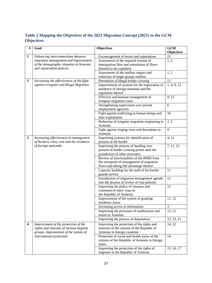**Table 2 Mapping the Objectives of the 2021 Migration Concept (2021) to the GCM Objectives**

| #                | Goal                                                                                                        | <b>Objectives</b>                                                                                                                         | <b>GCM</b><br><b>Objectives</b> |
|------------------|-------------------------------------------------------------------------------------------------------------|-------------------------------------------------------------------------------------------------------------------------------------------|---------------------------------|
| $\boldsymbol{l}$ | Enhancing interconnections between                                                                          | Encouragement of return and repatriation                                                                                                  | 21                              |
|                  | migration management and improvement                                                                        | Assessment of the required volume of                                                                                                      | 1, 2                            |
|                  | of the demographic situation in Armenia                                                                     | immigration flow and stimulation of flows                                                                                                 |                                 |
|                  | and repatriation policies                                                                                   | deemed to be expedient                                                                                                                    |                                 |
|                  |                                                                                                             | Assessment of the outflow impact and                                                                                                      | 1, 2                            |
|                  |                                                                                                             | reduction of target groups outflow                                                                                                        |                                 |
| $\overline{2}$   | Increasing the effectiveness of the fight                                                                   | Prevention of illegal border crossing                                                                                                     | 11                              |
|                  | against irregular and Illegal Migration                                                                     | Improvement of systems for the registration of<br>residence of foreign nationals and the<br>regulation thereof                            | 1, 4, 9, 12                     |
|                  |                                                                                                             | Effective and humane management of<br>irregular migration cases                                                                           | 9, 13                           |
|                  |                                                                                                             | Strengthening supervision over private<br>employment agencies                                                                             | 6                               |
|                  |                                                                                                             | Fight against trafficking in human beings and<br>their exploitation                                                                       | 10                              |
|                  |                                                                                                             | Reduction of irregular migration originating in<br>Armenia                                                                                | 2, 5                            |
|                  |                                                                                                             | Fight against forging visas and documents in<br>Armenia                                                                                   | 9                               |
| $\mathfrak{z}$   | Increasing effectiveness in management<br>of borders, entry, exit and the residence<br>of foreign nationals | Improving systems for identification of<br>persons at the border                                                                          | 4, 11                           |
|                  |                                                                                                             | Improving the process of handing over<br>persons at border crossing points onto the<br>jurisdiction of other structures                   | 7, 11, 12                       |
|                  |                                                                                                             | Review of functionalities of the BMIS from<br>the viewpoint of management of migration<br>flows and taking full advantage thereof         | $\mathbf{1}$                    |
|                  |                                                                                                             | Capacity building for the staff of the border<br>guards service                                                                           | 11                              |
|                  |                                                                                                             | Introduction of migration management agenda<br>into the process of review of visa policies                                                | 12                              |
|                  |                                                                                                             | Improving the policy of issuance and<br>extension of entry visas to<br>the Republic of Armenia                                            | 12                              |
|                  |                                                                                                             | Improvement of the system of granting<br>residence status                                                                                 | 11, 12                          |
|                  |                                                                                                             | Increasing access to information                                                                                                          | 3                               |
|                  |                                                                                                             | Improving the processes of readmission and<br>return in Armenia                                                                           | 12, 21                          |
|                  |                                                                                                             | Improving the process of deportation                                                                                                      | 12, 13, 21                      |
| $\boldsymbol{4}$ | Improvement of the protection of the<br>rights and interests of various migrant                             | Improving the protection of the rights and<br>interests of the citizens of the Republic of                                                | 14, 22                          |
|                  | groups, Improvement of the system of<br>international protection                                            | Armenia in foreign countries<br>Protection of social and health status of the<br>citizens of the Republic of Armenia in foreign<br>states | 14                              |
|                  |                                                                                                             | Improving the protection of the rights of<br>migrants in the Republic of Armenia                                                          | 15, 16, 17                      |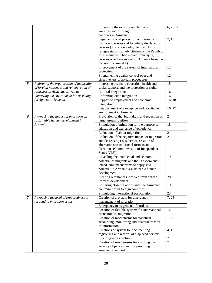|                |                                           | Improving the existing regulation of            | 6, 7, 10       |
|----------------|-------------------------------------------|-------------------------------------------------|----------------|
|                |                                           | employment of foreign                           |                |
|                |                                           | nationals in Armenia                            |                |
|                |                                           | Legal and social protection of internally       | 7, 15          |
|                |                                           | displaced persons and forcefully displaced      |                |
|                |                                           | persons (who are not eligible to apply for      |                |
|                |                                           | refugee status, namely citizens of the Republic |                |
|                |                                           | of Armenia who had moved from Syria,            |                |
|                |                                           | persons who have moved to Armenia from the      |                |
|                |                                           | Republic of Artsakh)                            |                |
|                |                                           | Improvement of the system of international      | 12             |
|                |                                           | protection                                      |                |
|                |                                           | Strengthening quality control over and          | 12             |
|                |                                           | effectiveness of asylum procedures              |                |
| 5              | Reforming the organisation of integration | Increasing access to education, health and      | 15             |
|                | of foreign nationals and reintegration of | social support, and the protection of rights    |                |
|                | returnees in Armenia, as well as          | Cultural integration                            | 16             |
|                | improving the environment for receiving   | Reforming civic integration                     | 16             |
|                | foreigners in Armenia                     | Support to employment and economic              | 16, 18         |
|                |                                           | integration                                     |                |
|                |                                           | Establishment of a receptive and hospitable     | 16, 17         |
|                |                                           | environment in Armenia                          |                |
| 6              | Increasing the impact of migration on     | Prevention of the brain drain and reduction of  | $\sqrt{2}$     |
|                | sustainable human development in          | target groups outflow                           |                |
|                | Armenia                                   | Stimulation of migration for the purpose of     | 18             |
|                |                                           | education and exchange of experience            |                |
|                |                                           | Reduction of labour migration                   | $\overline{2}$ |
|                |                                           | Reduction of the negative impact of migration   | $\overline{2}$ |
|                |                                           | and decreasing risks thereof, creation of       |                |
|                |                                           | alternatives to traditional formats and         |                |
|                |                                           | directions (Commonwealth of Independent         |                |
|                |                                           | States (CIS))                                   |                |
|                |                                           | Revealing the intellectual and economic         | 19             |
|                |                                           | potential of migrants and the Diaspora and      |                |
|                |                                           | introducing mechanisms to apply said            |                |
|                |                                           | potential to Armenia's sustainable human        |                |
|                |                                           | development.                                    |                |
|                |                                           | Steering remittances received from abroad       | 20             |
|                |                                           | towards development:                            |                |
|                |                                           | Fostering closer relations with the Armenian    | 19             |
|                |                                           | communities in foreign countries                |                |
|                |                                           | Stimulating international participation         | 23             |
| $\overline{7}$ | Increasing the level of preparedness to   | Creation of a system for emergency              | 7, 23          |
|                | respond to migration crises               | management of migration                         |                |
|                |                                           | Emergency management of borders                 | 11             |
|                |                                           | Creation of flexible systems for international  | 12             |
|                |                                           | protection of migration                         |                |
|                |                                           | Creation of mechanisms for statistical          | 1, 23          |
|                |                                           | accounting, monitoring and bilateral transfer   |                |
|                |                                           | of information                                  |                |
|                |                                           | Creations of system for documenting,            | 4, 12          |
|                |                                           | registering and referral of displaced persons   |                |
|                |                                           | Ensuring infrastructure                         | $\overline{7}$ |
|                |                                           | Creation of mechanisms for ensuring the         | $\overline{7}$ |
|                |                                           | security of persons and for providing           |                |
|                |                                           | emergency support                               |                |